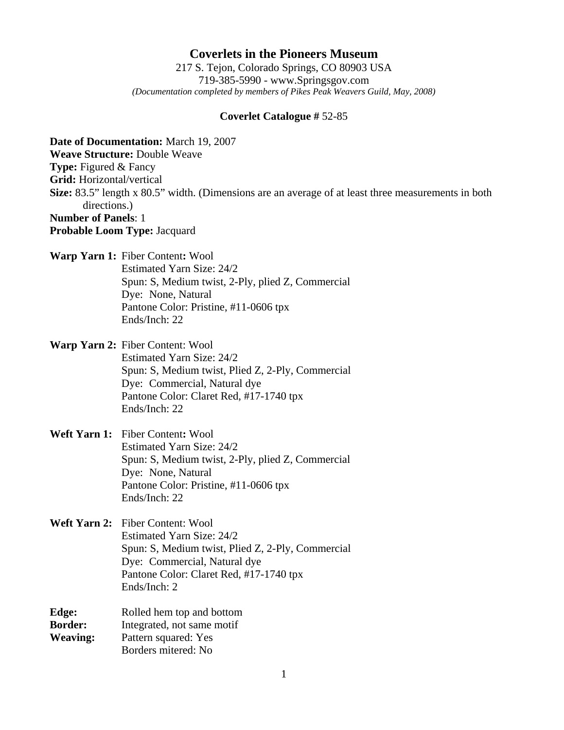## **Coverlets in the Pioneers Museum**

217 S. Tejon, Colorado Springs, CO 80903 USA 719-385-5990 - www.Springsgov.com *(Documentation completed by members of Pikes Peak Weavers Guild, May, 2008)* 

## **Coverlet Catalogue #** 52-85

**Date of Documentation:** March 19, 2007 **Weave Structure:** Double Weave **Type:** Figured & Fancy **Grid:** Horizontal/vertical **Size:** 83.5" length x 80.5" width. (Dimensions are an average of at least three measurements in both directions.) **Number of Panels**: 1 **Probable Loom Type:** Jacquard **Warp Yarn 1:** Fiber Content**:** Wool Estimated Yarn Size: 24/2 Spun: S, Medium twist, 2-Ply, plied Z, Commercial Dye: None, Natural Pantone Color: Pristine, #11-0606 tpx Ends/Inch: 22 **Warp Yarn 2:** Fiber Content: Wool Estimated Yarn Size: 24/2 Spun: S, Medium twist, Plied Z, 2-Ply, Commercial Dye: Commercial, Natural dye Pantone Color: Claret Red, #17-1740 tpx Ends/Inch: 22 **Weft Yarn 1:** Fiber Content**:** Wool Estimated Yarn Size: 24/2 Spun: S, Medium twist, 2-Ply, plied Z, Commercial Dye: None, Natural Pantone Color: Pristine, #11-0606 tpx Ends/Inch: 22 **Weft Yarn 2:** Fiber Content: Wool Estimated Yarn Size: 24/2 Spun: S, Medium twist, Plied Z, 2-Ply, Commercial Dye: Commercial, Natural dye Pantone Color: Claret Red, #17-1740 tpx Ends/Inch: 2

**Edge:** Rolled hem top and bottom **Border:** Integrated, not same motif **Weaving:** Pattern squared: Yes Borders mitered: No